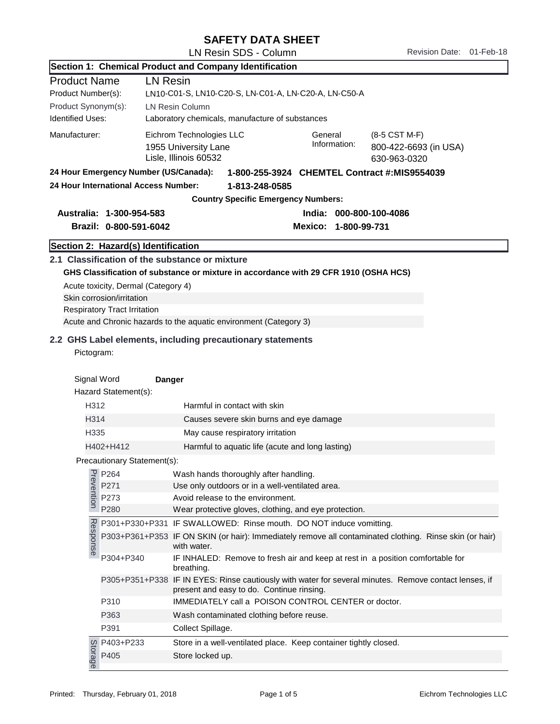## SAFETY DATA SHEET

LN Resin SDS - Column Revision Date: 01-Feb-18

|                                                                                             |                                                                                                         | Section 1: Chemical Product and Company Identification                                                                                                                                                      |
|---------------------------------------------------------------------------------------------|---------------------------------------------------------------------------------------------------------|-------------------------------------------------------------------------------------------------------------------------------------------------------------------------------------------------------------|
| <b>Product Name</b><br>Product Number(s):<br>Product Synonym(s):<br><b>Identified Uses:</b> | <b>LN Resin</b>                                                                                         | LN10-C01-S, LN10-C20-S, LN-C01-A, LN-C20-A, LN-C50-A<br><b>LN Resin Column</b><br>Laboratory chemicals, manufacture of substances                                                                           |
| Manufacturer:                                                                               |                                                                                                         | Eichrom Technologies LLC<br>General<br>(8-5 CST M-F)<br>Information:<br>1955 University Lane<br>800-422-6693 (in USA)<br>Lisle, Illinois 60532<br>630-963-0320                                              |
|                                                                                             | 24 Hour Emergency Number (US/Canada):<br>24 Hour International Access Number:                           | 1-800-255-3924 CHEMTEL Contract #:MIS9554039<br>1-813-248-0585<br><b>Country Specific Emergency Numbers:</b>                                                                                                |
|                                                                                             | Australia: 1-300-954-583<br>Brazil: 0-800-591-6042                                                      | India: 000-800-100-4086<br>Mexico: 1-800-99-731                                                                                                                                                             |
|                                                                                             | Section 2: Hazard(s) Identification                                                                     |                                                                                                                                                                                                             |
|                                                                                             | Acute toxicity, Dermal (Category 4)<br>Skin corrosion/irritation<br><b>Respiratory Tract Irritation</b> | 2.1 Classification of the substance or mixture<br>GHS Classification of substance or mixture in accordance with 29 CFR 1910 (OSHA HCS)<br>Acute and Chronic hazards to the aquatic environment (Category 3) |
| Pictogram:<br>Signal Word                                                                   | Hazard Statement(s):                                                                                    | Danger                                                                                                                                                                                                      |
| H312<br>Harmful in contact with skin                                                        |                                                                                                         |                                                                                                                                                                                                             |
| H314                                                                                        |                                                                                                         | Causes severe skin burns and eye damage                                                                                                                                                                     |
| H335                                                                                        |                                                                                                         | May cause respiratory irritation                                                                                                                                                                            |
| H402+H412                                                                                   |                                                                                                         | Harmful to aquatic life (acute and long lasting)                                                                                                                                                            |
|                                                                                             | Precautionary Statement(s):                                                                             |                                                                                                                                                                                                             |
|                                                                                             |                                                                                                         | Wash hands thoroughly after handling.                                                                                                                                                                       |
|                                                                                             |                                                                                                         | Use only outdoors or in a well-ventilated area.                                                                                                                                                             |
|                                                                                             | P264<br>P271<br>P273<br>P273<br>P280<br>P280                                                            | Avoid release to the environment.<br>Wear protective gloves, clothing, and eye protection.                                                                                                                  |
|                                                                                             |                                                                                                         | P301+P330+P331 IF SWALLOWED: Rinse mouth. DO NOT induce vomitting.                                                                                                                                          |
| Response                                                                                    |                                                                                                         | P303+P361+P353 IF ON SKIN (or hair): Immediately remove all contaminated clothing. Rinse skin (or hair)<br>with water.                                                                                      |
|                                                                                             | P304+P340                                                                                               | IF INHALED: Remove to fresh air and keep at rest in a position comfortable for<br>breathing.                                                                                                                |
|                                                                                             |                                                                                                         | P305+P351+P338 IF IN EYES: Rinse cautiously with water for several minutes. Remove contact lenses, if<br>present and easy to do. Continue rinsing.                                                          |
|                                                                                             | P310                                                                                                    | IMMEDIATELY call a POISON CONTROL CENTER or doctor.                                                                                                                                                         |
|                                                                                             | P363                                                                                                    | Wash contaminated clothing before reuse.                                                                                                                                                                    |
|                                                                                             | P391                                                                                                    | Collect Spillage.                                                                                                                                                                                           |
|                                                                                             | g P403+P233<br>ad P405<br>ad P405                                                                       | Store in a well-ventilated place. Keep container tightly closed.<br>Store locked up.                                                                                                                        |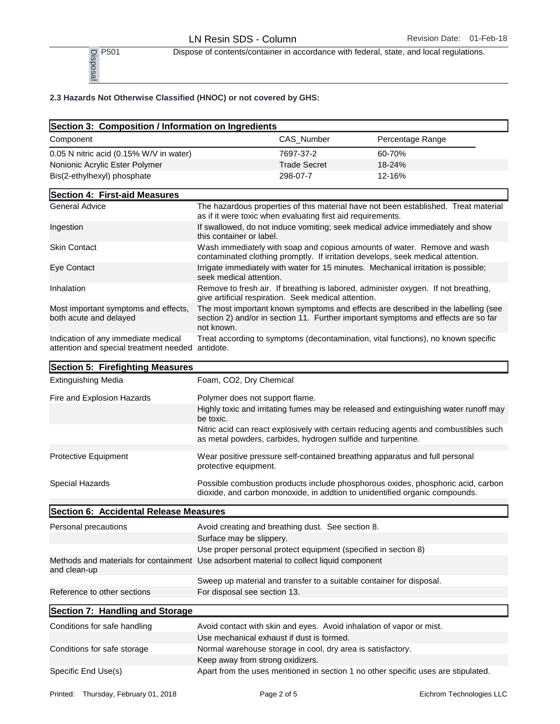P<sub>501</sub> Dispose of contents/container in accordance with federal, state, and local regulations.<br>
P<sub>50</sub><br>
<u>B</u><br>
<u>B</u><br>
<u>B</u>

| $\frac{1}{2}$ P501<br>$\frac{1}{2}$ P501                                                                 |                                                                                                      |                     |  | Dispose of contents/container in accordance with federal, state, and local regulations.                                                                                 |
|----------------------------------------------------------------------------------------------------------|------------------------------------------------------------------------------------------------------|---------------------|--|-------------------------------------------------------------------------------------------------------------------------------------------------------------------------|
| 2.3 Hazards Not Otherwise Classified (HNOC) or not covered by GHS:                                       |                                                                                                      |                     |  |                                                                                                                                                                         |
| Section 3: Composition / Information on Ingredients                                                      |                                                                                                      |                     |  |                                                                                                                                                                         |
| Component                                                                                                |                                                                                                      | CAS_Number          |  | Percentage Range                                                                                                                                                        |
| 0.05 N nitric acid (0.15% W/V in water)                                                                  |                                                                                                      | 7697-37-2           |  | 60-70%                                                                                                                                                                  |
| Nonionic Acrylic Ester Polymer                                                                           |                                                                                                      | <b>Trade Secret</b> |  | 18-24%                                                                                                                                                                  |
| Bis(2-ethylhexyl) phosphate                                                                              |                                                                                                      | 298-07-7            |  | 12-16%                                                                                                                                                                  |
| Section 4: First-aid Measures                                                                            |                                                                                                      |                     |  |                                                                                                                                                                         |
| <b>General Advice</b>                                                                                    | as if it were toxic when evaluating first aid requirements.                                          |                     |  | The hazardous properties of this material have not been established. Treat material                                                                                     |
| Ingestion                                                                                                | this container or label.                                                                             |                     |  | If swallowed, do not induce vomiting; seek medical advice immediately and show                                                                                          |
| <b>Skin Contact</b>                                                                                      |                                                                                                      |                     |  | Wash immediately with soap and copious amounts of water. Remove and wash<br>contaminated clothing promptly. If irritation develops, seek medical attention.             |
| Eye Contact                                                                                              | seek medical attention.                                                                              |                     |  | Irrigate immediately with water for 15 minutes. Mechanical irritation is possible;                                                                                      |
| Inhalation                                                                                               | give artificial respiration. Seek medical attention.                                                 |                     |  | Remove to fresh air. If breathing is labored, administer oxygen. If not breathing,                                                                                      |
| Most important symptoms and effects,<br>both acute and delayed                                           | not known.                                                                                           |                     |  | The most important known symptoms and effects are described in the labelling (see<br>section 2) and/or in section 11. Further important symptoms and effects are so far |
| Indication of any immediate medical<br>attention and special treatment needed                            | antidote.                                                                                            |                     |  | Treat according to symptoms (decontamination, vital functions), no known specific                                                                                       |
| Section 5: Firefighting Measures                                                                         |                                                                                                      |                     |  |                                                                                                                                                                         |
| <b>Extinguishing Media</b>                                                                               | Foam, CO2, Dry Chemical                                                                              |                     |  |                                                                                                                                                                         |
| Fire and Explosion Hazards                                                                               | Polymer does not support flame.                                                                      |                     |  |                                                                                                                                                                         |
|                                                                                                          | be toxic.                                                                                            |                     |  | Highly toxic and irritating fumes may be released and extinguishing water runoff may                                                                                    |
|                                                                                                          | as metal powders, carbides, hydrogen sulfide and turpentine.                                         |                     |  | Nitric acid can react explosively with certain reducing agents and combustibles such                                                                                    |
| Protective Equipment                                                                                     | protective equipment.                                                                                |                     |  | Wear positive pressure self-contained breathing apparatus and full personal                                                                                             |
| Special Hazards                                                                                          |                                                                                                      |                     |  | Possible combustion products include phosphorous oxides, phosphoric acid, carbon<br>dioxide, and carbon monoxide, in addtion to unidentified organic compounds.         |
| Section 6: Accidental Release Measures                                                                   |                                                                                                      |                     |  |                                                                                                                                                                         |
| Personal precautions                                                                                     | Avoid creating and breathing dust. See section 8.                                                    |                     |  |                                                                                                                                                                         |
|                                                                                                          | Surface may be slippery.                                                                             |                     |  |                                                                                                                                                                         |
|                                                                                                          | Use proper personal protect equipment (specified in section 8)                                       |                     |  |                                                                                                                                                                         |
| Methods and materials for containment Use adsorbent material to collect liquid component<br>and clean-up |                                                                                                      |                     |  |                                                                                                                                                                         |
| Reference to other sections                                                                              | Sweep up material and transfer to a suitable container for disposal.<br>For disposal see section 13. |                     |  |                                                                                                                                                                         |
| Section 7: Handling and Storage                                                                          |                                                                                                      |                     |  |                                                                                                                                                                         |
| Conditions for safe handling                                                                             | Avoid contact with skin and eyes. Avoid inhalation of vapor or mist.                                 |                     |  |                                                                                                                                                                         |
|                                                                                                          | Use mechanical exhaust if dust is formed.                                                            |                     |  |                                                                                                                                                                         |
| Conditions for safe storage                                                                              | Normal warehouse storage in cool, dry area is satisfactory.                                          |                     |  |                                                                                                                                                                         |
|                                                                                                          | Keep away from strong oxidizers.                                                                     |                     |  |                                                                                                                                                                         |
| Specific End Use(s)                                                                                      |                                                                                                      |                     |  | Apart from the uses mentioned in section 1 no other specific uses are stipulated.                                                                                       |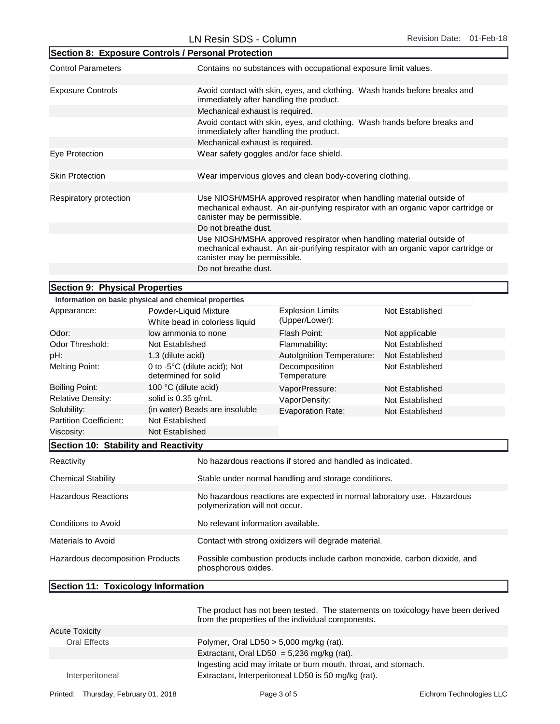|                                                                                                                                                                                            | Section 8: Exposure Controls / Personal Protection      |                                                                                                                                                                                            |                                                                           |  |
|--------------------------------------------------------------------------------------------------------------------------------------------------------------------------------------------|---------------------------------------------------------|--------------------------------------------------------------------------------------------------------------------------------------------------------------------------------------------|---------------------------------------------------------------------------|--|
| <b>Control Parameters</b>                                                                                                                                                                  |                                                         | Contains no substances with occupational exposure limit values.                                                                                                                            |                                                                           |  |
|                                                                                                                                                                                            |                                                         |                                                                                                                                                                                            |                                                                           |  |
| <b>Exposure Controls</b>                                                                                                                                                                   | immediately after handling the product.                 |                                                                                                                                                                                            | Avoid contact with skin, eyes, and clothing. Wash hands before breaks and |  |
|                                                                                                                                                                                            | Mechanical exhaust is required.                         |                                                                                                                                                                                            |                                                                           |  |
|                                                                                                                                                                                            | immediately after handling the product.                 |                                                                                                                                                                                            | Avoid contact with skin, eyes, and clothing. Wash hands before breaks and |  |
|                                                                                                                                                                                            | Mechanical exhaust is required.                         |                                                                                                                                                                                            |                                                                           |  |
| Eye Protection                                                                                                                                                                             | Wear safety goggles and/or face shield.                 |                                                                                                                                                                                            |                                                                           |  |
|                                                                                                                                                                                            |                                                         |                                                                                                                                                                                            |                                                                           |  |
| <b>Skin Protection</b>                                                                                                                                                                     |                                                         | Wear impervious gloves and clean body-covering clothing.                                                                                                                                   |                                                                           |  |
|                                                                                                                                                                                            |                                                         |                                                                                                                                                                                            |                                                                           |  |
| Respiratory protection                                                                                                                                                                     |                                                         | Use NIOSH/MSHA approved respirator when handling material outside of<br>mechanical exhaust. An air-purifying respirator with an organic vapor cartridge or<br>canister may be permissible. |                                                                           |  |
|                                                                                                                                                                                            | Do not breathe dust.                                    |                                                                                                                                                                                            |                                                                           |  |
| Use NIOSH/MSHA approved respirator when handling material outside of<br>mechanical exhaust. An air-purifying respirator with an organic vapor cartridge or<br>canister may be permissible. |                                                         |                                                                                                                                                                                            |                                                                           |  |
|                                                                                                                                                                                            |                                                         | Do not breathe dust.                                                                                                                                                                       |                                                                           |  |
|                                                                                                                                                                                            |                                                         |                                                                                                                                                                                            |                                                                           |  |
| Section 9: Physical Properties                                                                                                                                                             | Information on basic physical and chemical properties   |                                                                                                                                                                                            |                                                                           |  |
| Appearance:                                                                                                                                                                                | Powder-Liquid Mixture<br>White bead in colorless liquid | <b>Explosion Limits</b><br>(Upper/Lower):                                                                                                                                                  | Not Established                                                           |  |
| Odor:                                                                                                                                                                                      | low ammonia to none                                     | Flash Point:                                                                                                                                                                               | Not applicable                                                            |  |
| Odor Threshold:                                                                                                                                                                            | Not Established                                         | Flammability:                                                                                                                                                                              | Not Established                                                           |  |
| pH:                                                                                                                                                                                        | 1.3 (dilute acid)                                       | Autolgnition Temperature:                                                                                                                                                                  | Not Established                                                           |  |
|                                                                                                                                                                                            |                                                         |                                                                                                                                                                                            |                                                                           |  |

| pH:                                  | 1.3 (dilute acid)                                    | <b>Autolgnition Temperature:</b> | Not Established |
|--------------------------------------|------------------------------------------------------|----------------------------------|-----------------|
| Melting Point:                       | 0 to -5°C (dilute acid); Not<br>determined for solid | Decomposition<br>Temperature     | Not Established |
| Boiling Point:                       | 100 °C (dilute acid)                                 | VaporPressure:                   | Not Established |
| Relative Density:                    | solid is 0.35 g/mL                                   | VaporDensity:                    | Not Established |
| Solubility:                          | (in water) Beads are insoluble                       | <b>Evaporation Rate:</b>         | Not Established |
| Partition Coefficient:               | Not Established                                      |                                  |                 |
| Viscosity:                           | Not Established                                      |                                  |                 |
| Section 10: Stability and Reactivity |                                                      |                                  |                 |

| Reactivity                       | No hazardous reactions if stored and handled as indicated.                                                |
|----------------------------------|-----------------------------------------------------------------------------------------------------------|
| <b>Chemical Stability</b>        | Stable under normal handling and storage conditions.                                                      |
| <b>Hazardous Reactions</b>       | No hazardous reactions are expected in normal laboratory use. Hazardous<br>polymerization will not occur. |
| Conditions to Avoid              | No relevant information available.                                                                        |
| Materials to Avoid               | Contact with strong oxidizers will degrade material.                                                      |
| Hazardous decomposition Products | Possible combustion products include carbon monoxide, carbon dioxide, and<br>phosphorous oxides.          |

## Section 11: Toxicology Information

|                       | The product has not been tested. The statements on toxicology have been derived<br>from the properties of the individual components. |
|-----------------------|--------------------------------------------------------------------------------------------------------------------------------------|
| <b>Acute Toxicity</b> |                                                                                                                                      |
| <b>Oral Effects</b>   | Polymer, Oral LD50 $>$ 5,000 mg/kg (rat).                                                                                            |
|                       | Extractant, Oral LD50 = $5,236$ mg/kg (rat).                                                                                         |
|                       | Ingesting acid may irritate or burn mouth, throat, and stomach.                                                                      |
| Interperitoneal       | Extractant, Interperitoneal LD50 is 50 mg/kg (rat).                                                                                  |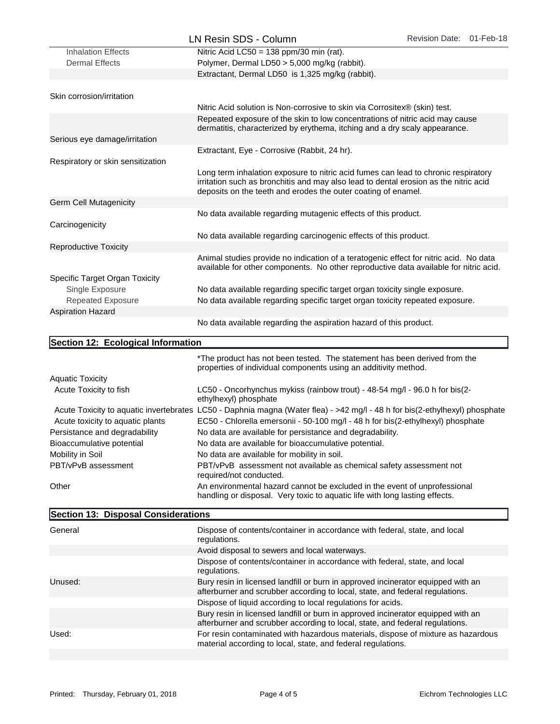|                                    | LN Resin SDS - Column                                                                                                                                                                                                                       | Revision Date: 01-Feb-18 |  |
|------------------------------------|---------------------------------------------------------------------------------------------------------------------------------------------------------------------------------------------------------------------------------------------|--------------------------|--|
| <b>Inhalation Effects</b>          | Nitric Acid LC50 = 138 ppm/30 min (rat).                                                                                                                                                                                                    |                          |  |
| <b>Dermal Effects</b>              | Polymer, Dermal LD50 > 5,000 mg/kg (rabbit).                                                                                                                                                                                                |                          |  |
|                                    | Extractant, Dermal LD50 is 1,325 mg/kg (rabbit).                                                                                                                                                                                            |                          |  |
|                                    |                                                                                                                                                                                                                                             |                          |  |
| Skin corrosion/irritation          |                                                                                                                                                                                                                                             |                          |  |
|                                    | Nitric Acid solution is Non-corrosive to skin via Corrositex® (skin) test.                                                                                                                                                                  |                          |  |
|                                    | Repeated exposure of the skin to low concentrations of nitric acid may cause<br>dermatitis, characterized by erythema, itching and a dry scaly appearance.                                                                                  |                          |  |
| Serious eye damage/irritation      |                                                                                                                                                                                                                                             |                          |  |
| Respiratory or skin sensitization  | Extractant, Eye - Corrosive (Rabbit, 24 hr).                                                                                                                                                                                                |                          |  |
|                                    | Long term inhalation exposure to nitric acid fumes can lead to chronic respiratory<br>irritation such as bronchitis and may also lead to dental erosion as the nitric acid<br>deposits on the teeth and erodes the outer coating of enamel. |                          |  |
| <b>Germ Cell Mutagenicity</b>      |                                                                                                                                                                                                                                             |                          |  |
|                                    | No data available regarding mutagenic effects of this product.                                                                                                                                                                              |                          |  |
| Carcinogenicity                    |                                                                                                                                                                                                                                             |                          |  |
|                                    | No data available regarding carcinogenic effects of this product.                                                                                                                                                                           |                          |  |
| <b>Reproductive Toxicity</b>       |                                                                                                                                                                                                                                             |                          |  |
|                                    | Animal studies provide no indication of a teratogenic effect for nitric acid. No data<br>available for other components. No other reproductive data available for nitric acid.                                                              |                          |  |
| Specific Target Organ Toxicity     |                                                                                                                                                                                                                                             |                          |  |
| Single Exposure                    | No data available regarding specific target organ toxicity single exposure.<br>No data available regarding specific target organ toxicity repeated exposure.                                                                                |                          |  |
| <b>Repeated Exposure</b>           |                                                                                                                                                                                                                                             |                          |  |
| <b>Aspiration Hazard</b>           |                                                                                                                                                                                                                                             |                          |  |
|                                    | No data available regarding the aspiration hazard of this product.                                                                                                                                                                          |                          |  |
| Section 12: Ecological Information |                                                                                                                                                                                                                                             |                          |  |
|                                    | *The product has not been tested. The statement has been derived from the<br>properties of individual components using an additivity method.                                                                                                |                          |  |
| <b>Aquatic Toxicity</b>            |                                                                                                                                                                                                                                             |                          |  |
| Acute Toxicity to fish             | LC50 - Oncorhynchus mykiss (rainbow trout) - 48-54 mg/l - 96.0 h for bis(2-<br>ethylhexyl) phosphate                                                                                                                                        |                          |  |
|                                    | Acute Toxicity to aquatic invertebrates LC50 - Daphnia magna (Water flea) - >42 mg/l - 48 h for bis(2-ethylhexyl) phosphate                                                                                                                 |                          |  |
| Acute toxicity to aquatic plants   | EC50 - Chlorella emersonii - 50-100 mg/l - 48 h for bis(2-ethylhexyl) phosphate                                                                                                                                                             |                          |  |
| Persistance and degradability      | No data are available for persistance and degradability.                                                                                                                                                                                    |                          |  |
| Bioaccumulative potential          | No data are available for bioaccumulative potential.                                                                                                                                                                                        |                          |  |
| Mobility in Soil                   | No data are available for mobility in soil.                                                                                                                                                                                                 |                          |  |
| PBT/vPvB assessment                | PBT/vPvB assessment not available as chemical safety assessment not<br>required/not conducted.                                                                                                                                              |                          |  |

**Other** 

Section 13: Disposal Considerations

| General | Dispose of contents/container in accordance with federal, state, and local<br>regulations.                                                                       |
|---------|------------------------------------------------------------------------------------------------------------------------------------------------------------------|
|         | Avoid disposal to sewers and local waterways.                                                                                                                    |
|         | Dispose of contents/container in accordance with federal, state, and local<br>regulations.                                                                       |
| Unused: | Bury resin in licensed landfill or burn in approved incinerator equipped with an<br>afterburner and scrubber according to local, state, and federal regulations. |
|         | Dispose of liquid according to local regulations for acids.                                                                                                      |
|         | Bury resin in licensed landfill or burn in approved incinerator equipped with an<br>afterburner and scrubber according to local, state, and federal regulations. |
| Used:   | For resin contaminated with hazardous materials, dispose of mixture as hazardous<br>material according to local, state, and federal regulations.                 |
|         |                                                                                                                                                                  |

An environmental hazard cannot be excluded in the event of unprofessional handling or disposal. Very toxic to aquatic life with long lasting effects.